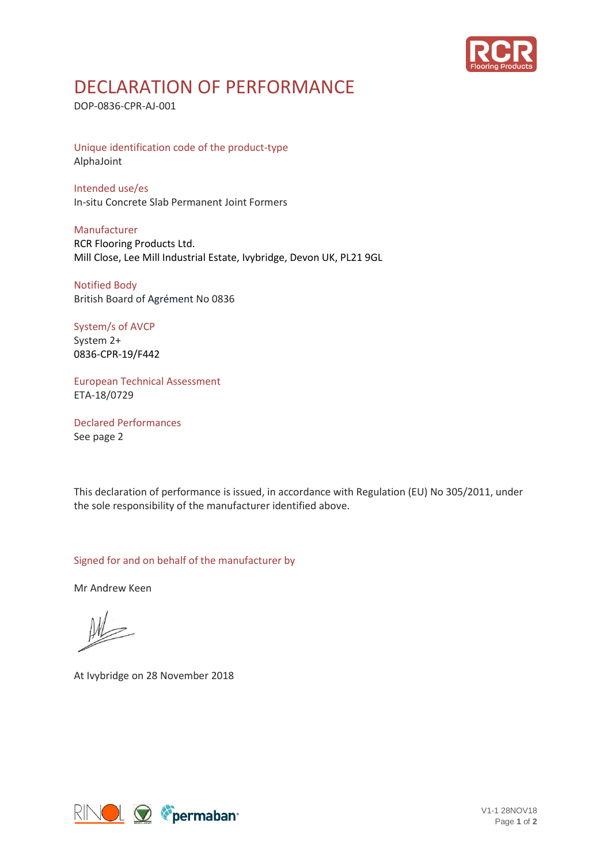

## DECLARATION OF PERFORMANCE

DOP-0836-CPR-AJ-001

Unique identification code of the product-type AlphaJoint

Intended use/es In-situ Concrete Slab Permanent Joint Formers

Manufacturer RCR Flooring Products Ltd. Mill Close, Lee Mill Industrial Estate, Ivybridge, Devon UK, PL21 9GL

Notified Body British Board of Agrément No 0836

System/s of AVCP System 2+ 0836-CPR-19/F442

European Technical Assessment ETA-18/0729

Declared Performances See page 2

This declaration of performance is issued, in accordance with Regulation (EU) No 305/2011, under the sole responsibility of the manufacturer identified above.

Signed for and on behalf of the manufacturer by

Mr Andrew Keen

At Ivybridge on 28 November 2018



V1-1 28NOV18 Page **1** of **2**